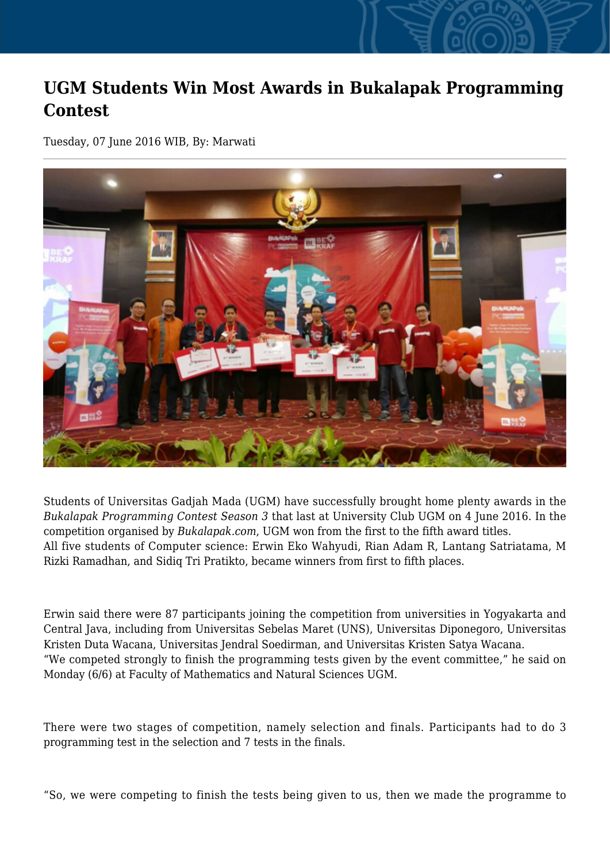## **UGM Students Win Most Awards in Bukalapak Programming Contest**

Tuesday, 07 June 2016 WIB, By: Marwati



Students of Universitas Gadjah Mada (UGM) have successfully brought home plenty awards in the *Bukalapak Programming Contest Season 3* that last at University Club UGM on 4 June 2016. In the competition organised by *Bukalapak.com*, UGM won from the first to the fifth award titles. All five students of Computer science: Erwin Eko Wahyudi, Rian Adam R, Lantang Satriatama, M Rizki Ramadhan, and Sidiq Tri Pratikto, became winners from first to fifth places.

Erwin said there were 87 participants joining the competition from universities in Yogyakarta and Central Java, including from Universitas Sebelas Maret (UNS), Universitas Diponegoro, Universitas Kristen Duta Wacana, Universitas Jendral Soedirman, and Universitas Kristen Satya Wacana. "We competed strongly to finish the programming tests given by the event committee," he said on Monday (6/6) at Faculty of Mathematics and Natural Sciences UGM.

There were two stages of competition, namely selection and finals. Participants had to do 3 programming test in the selection and 7 tests in the finals.

"So, we were competing to finish the tests being given to us, then we made the programme to